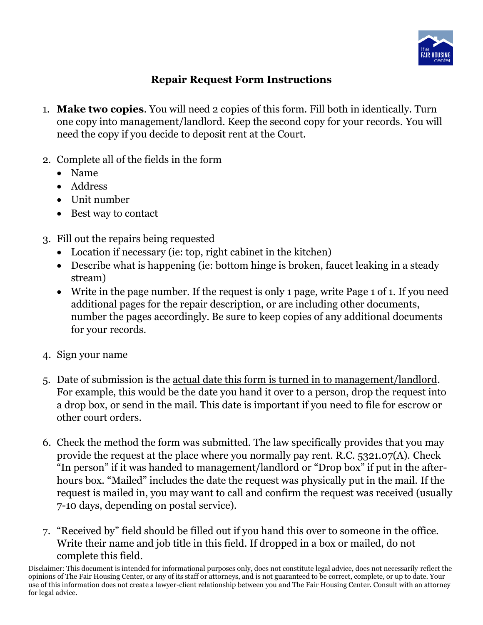

## **Repair Request Form Instructions**

- 1. **Make two copies**. You will need 2 copies of this form. Fill both in identically. Turn one copy into management/landlord. Keep the second copy for your records. You will need the copy if you decide to deposit rent at the Court.
- 2. Complete all of the fields in the form
	- Name
	- Address
	- Unit number
	- Best way to contact
- 3. Fill out the repairs being requested
	- Location if necessary (ie: top, right cabinet in the kitchen)
	- Describe what is happening (ie: bottom hinge is broken, faucet leaking in a steady stream)
	- Write in the page number. If the request is only 1 page, write Page 1 of 1. If you need additional pages for the repair description, or are including other documents, number the pages accordingly. Be sure to keep copies of any additional documents for your records.
- 4. Sign your name
- 5. Date of submission is the actual date this form is turned in to management/landlord. For example, this would be the date you hand it over to a person, drop the request into a drop box, or send in the mail. This date is important if you need to file for escrow or other court orders.
- 6. Check the method the form was submitted. The law specifically provides that you may provide the request at the place where you normally pay rent. R.C. 5321.07(A). Check "In person" if it was handed to management/landlord or "Drop box" if put in the afterhours box. "Mailed" includes the date the request was physically put in the mail. If the request is mailed in, you may want to call and confirm the request was received (usually 7-10 days, depending on postal service).
- 7. "Received by" field should be filled out if you hand this over to someone in the office. Write their name and job title in this field. If dropped in a box or mailed, do not complete this field.

Disclaimer: This document is intended for informational purposes only, does not constitute legal advice, does not necessarily reflect the opinions of The Fair Housing Center, or any of its staff or attorneys, and is not guaranteed to be correct, complete, or up to date. Your use of this information does not create a lawyer-client relationship between you and The Fair Housing Center. Consult with an attorney for legal advice.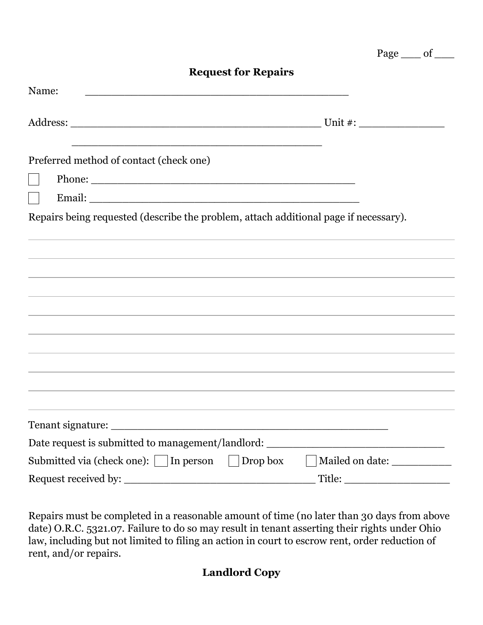| <b>Request for Repairs</b>                                                           |                                          |
|--------------------------------------------------------------------------------------|------------------------------------------|
| Name:                                                                                |                                          |
|                                                                                      |                                          |
| Preferred method of contact (check one)                                              |                                          |
|                                                                                      |                                          |
|                                                                                      |                                          |
| Repairs being requested (describe the problem, attach additional page if necessary). |                                          |
|                                                                                      |                                          |
|                                                                                      |                                          |
| ,我们也不会有什么。""我们的人,我们也不会有什么?""我们的人,我们也不会有什么?""我们的人,我们也不会有什么?""我们的人,我们也不会有什么?""我们的人     |                                          |
| ,我们也不会有什么。""我们的人,我们也不会有什么?""我们的人,我们也不会有什么?""我们的人,我们也不会有什么?""我们的人,我们也不会有什么?""我们的人     |                                          |
| ,我们也不会有什么。""我们的人,我们也不会有什么?""我们的人,我们也不会有什么?""我们的人,我们也不会有什么?""我们的人,我们也不会有什么?""我们的人     |                                          |
|                                                                                      |                                          |
|                                                                                      |                                          |
|                                                                                      |                                          |
|                                                                                      |                                          |
|                                                                                      |                                          |
|                                                                                      |                                          |
| Date request is submitted to management/landlord: __________                         |                                          |
| Submitted via (check one):     In person                                             | Drop box<br>Mailed on date: ____________ |
| Request received by:                                                                 | Title:                                   |

Page of

Repairs must be completed in a reasonable amount of time (no later than 30 days from above date) O.R.C. 5321.07. Failure to do so may result in tenant asserting their rights under Ohio law, including but not limited to filing an action in court to escrow rent, order reduction of rent, and/or repairs.

## **Landlord Copy**